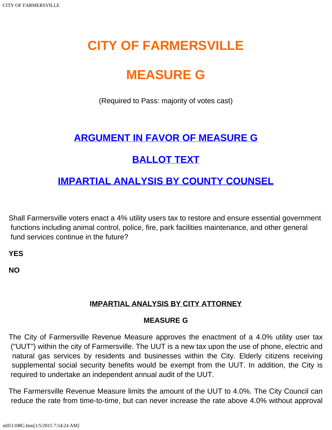# **CITY OF FARMERSVILLE**

# **MEASURE G**

(Required to Pass: majority of votes cast)

## **[ARGUMENT IN FAVOR OF MEASURE G](#page-1-0)**

### **[BALLOT TEXT](#page-0-0)**

### **[IMPARTIAL ANALYSIS BY COUNTY COUNSEL](#page-0-1)**

<span id="page-0-0"></span>Shall Farmersville voters enact a 4% utility users tax to restore and ensure essential government functions including animal control, police, fire, park facilities maintenance, and other general fund services continue in the future?

**YES**

<span id="page-0-1"></span>**NO**

#### **IMPARTIAL ANALYSIS BY CITY ATTORNEY**

#### **MEASURE G**

The City of Farmersville Revenue Measure approves the enactment of a 4.0% utility user tax ("UUT") within the city of Farmersville. The UUT is a new tax upon the use of phone, electric and natural gas services by residents and businesses within the City. Elderly citizens receiving supplemental social security benefits would be exempt from the UUT. In addition, the City is required to undertake an independent annual audit of the UUT.

The Farmersville Revenue Measure limits the amount of the UUT to 4.0%. The City Council can reduce the rate from time-to-time, but can never increase the rate above 4.0% without approval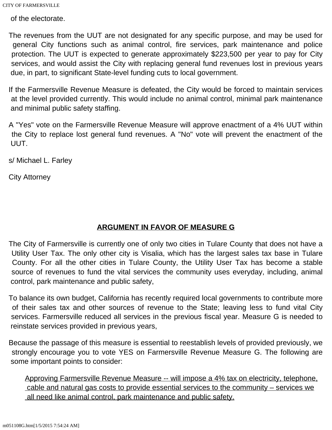CITY OF FARMERSVILLE

of the electorate.

The revenues from the UUT are not designated for any specific purpose, and may be used for general City functions such as animal control, fire services, park maintenance and police protection. The UUT is expected to generate approximately \$223,500 per year to pay for City services, and would assist the City with replacing general fund revenues lost in previous years due, in part, to significant State-level funding cuts to local government.

If the Farmersville Revenue Measure is defeated, the City would be forced to maintain services at the level provided currently. This would include no animal control, minimal park maintenance and minimal public safety staffing.

A "Yes" vote on the Farmersville Revenue Measure will approve enactment of a 4% UUT within the City to replace lost general fund revenues. A "No" vote will prevent the enactment of the UUT.

s/ Michael L. Farley

City Attorney

#### **ARGUMENT IN FAVOR OF MEASURE G**

<span id="page-1-0"></span>The City of Farmersville is currently one of only two cities in Tulare County that does not have a Utility User Tax. The only other city is Visalia, which has the largest sales tax base in Tulare County. For all the other cities in Tulare County, the Utility User Tax has become a stable source of revenues to fund the vital services the community uses everyday, including, animal control, park maintenance and public safety,

To balance its own budget, California has recently required local governments to contribute more of their sales tax and other sources of revenue to the State; leaving less to fund vital City services. Farmersville reduced all services in the previous fiscal year. Measure G is needed to reinstate services provided in previous years,

Because the passage of this measure is essential to reestablish levels of provided previously, we strongly encourage you to vote YES on Farmersville Revenue Measure G. The following are some important points to consider:

Approving Farmersville Revenue Measure -- will impose a 4% tax on electricity, telephone, cable and natural gas costs to provide essential services to the community – services we all need like animal control, park maintenance and public safety.